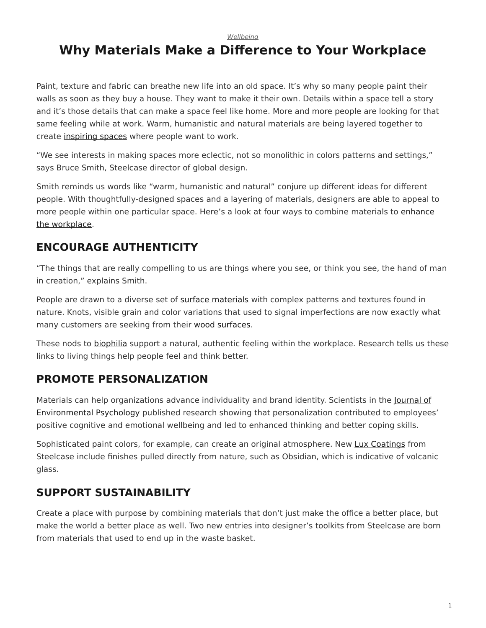*[Wellbeing](https://www.steelcase.com/research/topics/wellbeing/)*

# <span id="page-0-0"></span>**Why Materials Make a Difference to Your Workplace**

Paint, texture and fabric can breathe new life into an old space. It's why so many people paint their walls as soon as they buy a house. They want to make it their own. Details within a space tell a story and it's those details that can make a space feel like home. More and more people are looking for that same feeling while at work. Warm, humanistic and natural materials are being layered together to create [inspiring spaces](https://www.steelcase.com/spaces-inspiration/inspiring-office-workspaces/) where people want to work.

"We see interests in making spaces more eclectic, not so monolithic in colors patterns and settings," says Bruce Smith, Steelcase director of global design.

Smith reminds us words like "warm, humanistic and natural" conjure up different ideas for different people. With thoughtfully-designed spaces and a layering of materials, designers are able to appeal to more people within one particular space. Here's a look at four ways to combine materials to [enhance](https://www.steelcase.com/blog/6-workplace-updates-for-the-office-renaissance/) [the workplace.](https://www.steelcase.com/blog/6-workplace-updates-for-the-office-renaissance/)

# **ENCOURAGE AUTHENTICITY**

"The things that are really compelling to us are things where you see, or think you see, the hand of man in creation," explains Smith.

People are drawn to a diverse set of [surface materials](https://www.steelcase.com/resources/surface-materials/) with complex patterns and textures found in nature. Knots, visible grain and color variations that used to signal imperfections are now exactly what many customers are seeking from their [wood surfaces.](https://www.steelcase.com/resources/documents/planked-veneer-application/)

These nods to [biophilia](https://www.steelcase.com/blog/designtex-president-four-materials-trends-in-2017/) support a natural, authentic feeling within the workplace. Research tells us these links to living things help people feel and think better.

## **PROMOTE PERSONALIZATION**

Materials can help organizations advance individuality and brand identity. Scientists in the **[Journal of](http://www.psychologicalscience.org/news/minds-business/being-able-to-personalize-your-workspace-may-have-psychological-benefits.html#.WJ9u728rJhE)** [Environmental Psychology](http://www.psychologicalscience.org/news/minds-business/being-able-to-personalize-your-workspace-may-have-psychological-benefits.html#.WJ9u728rJhE) published research showing that personalization contributed to employees' positive cognitive and emotional wellbeing and led to enhanced thinking and better coping skills.

Sophisticated paint colors, for example, can create an original atmosphere. New [Lux Coatings](https://www.steelcase.com/resources/surface-materials/) from Steelcase include finishes pulled directly from nature, such as Obsidian, which is indicative of volcanic glass.

## **SUPPORT SUSTAINABILITY**

Create a place with purpose by combining materials that don't just make the office a better place, but make the world a better place as well. Two new entries into designer's toolkits from Steelcase are born from materials that used to end up in the waste basket.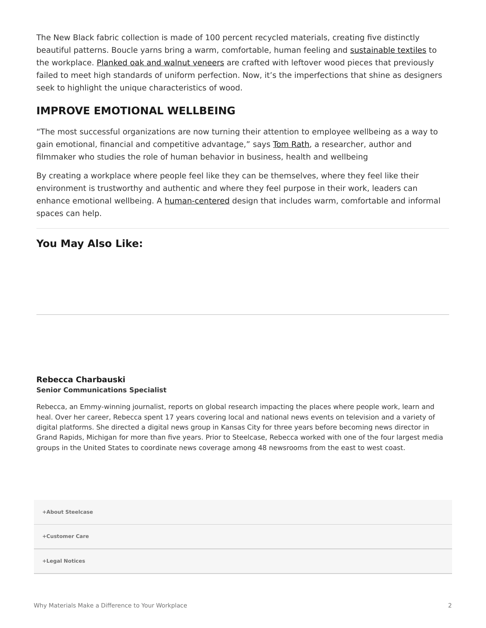The New Black fabric collection is made of 100 percent recycled materials, creating five distinctly beautiful patterns. Boucle yarns bring a warm, comfortable, human feeling and [sustainable textiles](https://www.steelcase.com/discover/steelcase/sustainability/) to the workplace. [Planked oak and walnut veneers](https://www.steelcase.com/resources/documents/planked-veneer-application/) are crafted with leftover wood pieces that previously failed to meet high standards of uniform perfection. Now, it's the imperfections that shine as designers seek to highlight the unique characteristics of wood.

#### **IMPROVE EMOTIONAL WELLBEING**

"The most successful organizations are now turning their attention to employee wellbeing as a way to gain emotional, financial and competitive advantage," says [Tom Rath](https://www.steelcase.com/insights/articles/wellbeing-a-bottom-line-issue/), a researcher, author and filmmaker who studies the role of human behavior in business, health and wellbeing

By creating a workplace where people feel like they can be themselves, where they feel like their environment is trustworthy and authentic and where they feel purpose in their work, leaders can enhance emotional wellbeing. A [human-centered](https://www.steelcase.com/blog/inspiring-spaces-reinvigorate-the-office/) design that includes warm, comfortable and informal spaces can help.

#### **You May Also Like:**

#### **[Rebecca Charbauski](https://www.steelcase.com/research/articles/author/rcharbausteelcase-com/) Senior Communications Specialist**

Rebecca, an Emmy-winning journalist, reports on global research impacting the places where people work, learn and heal. Over her career, Rebecca spent 17 years covering local and national news events on television and a variety of digital platforms. She directed a digital news group in Kansas City for three years before becoming news director in Grand Rapids, Michigan for more than five years. Prior to Steelcase, Rebecca worked with one of the four largest media groups in the United States to coordinate news coverage among 48 newsrooms from the east to west coast.

**[+About Steelcase](https://www.steelcase.com/discover/steelcase/our-company/)**

**[+Customer Care](#page-0-0)**

**[+Legal Notices](#page-0-0)**